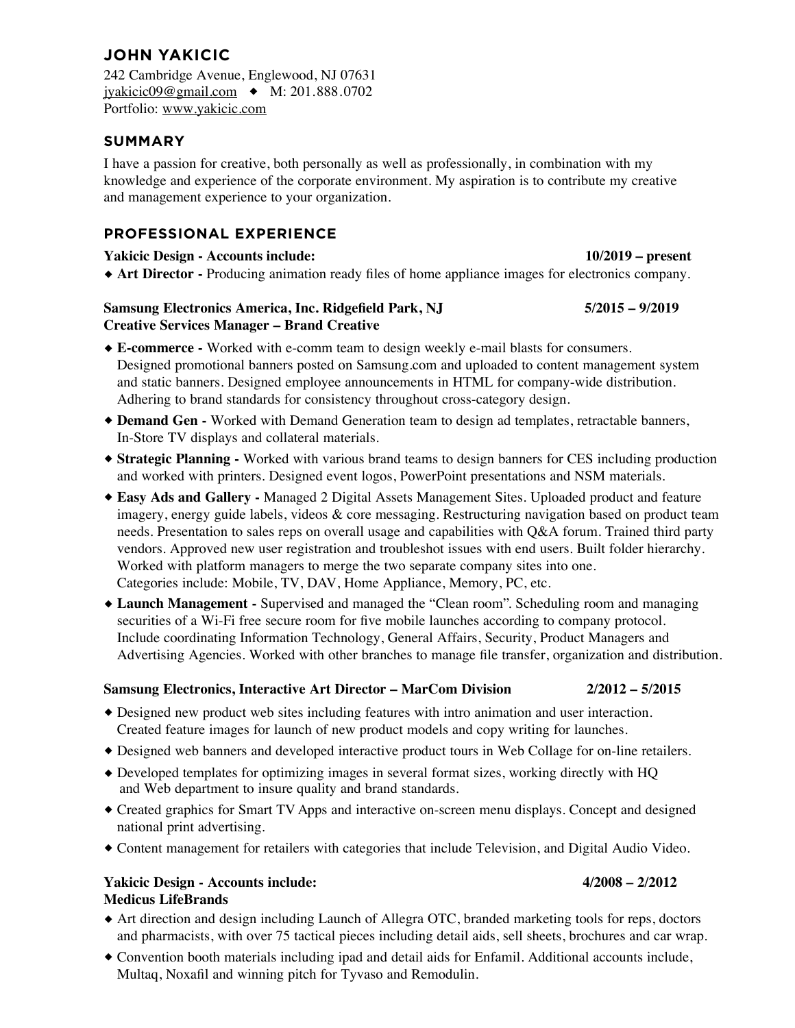# **JOHN YAKICIC**

242 Cambridge Avenue, Englewood, NJ 07631 jyakicic09@gmail.com ⧫ M: 201.888.0702 Portfolio: www.yakicic.com

# **SUMMARY**

I have a passion for creative, both personally as well as professionally, in combination with my knowledge and experience of the corporate environment. My aspiration is to contribute my creative and management experience to your organization.

# **PROFESSIONAL EXPERIENCE**

### **Yakicic Design - Accounts include: 10/2019 – present**

# ⧫ **Art Director -** Producing animation ready files of home appliance images for electronics company.

# **Samsung Electronics America, Inc. Ridgefield Park, NJ 5/2015 – 9/2019 Creative Services Manager – Brand Creative**

- ⧫ **E-commerce -** Worked with e-comm team to design weekly e-mail blasts for consumers. Designed promotional banners posted on Samsung.com and uploaded to content management system and static banners. Designed employee announcements in HTML for company-wide distribution. Adhering to brand standards for consistency throughout cross-category design.
- ⧫ **Demand Gen -** Worked with Demand Generation team to design ad templates, retractable banners, In-Store TV displays and collateral materials.
- ⧫ **Strategic Planning -** Worked with various brand teams to design banners for CES including production and worked with printers. Designed event logos, PowerPoint presentations and NSM materials.
- ⧫ **Easy Ads and Gallery -** Managed 2 Digital Assets Management Sites. Uploaded product and feature imagery, energy guide labels, videos & core messaging. Restructuring navigation based on product team needs. Presentation to sales reps on overall usage and capabilities with Q&A forum. Trained third party vendors. Approved new user registration and troubleshot issues with end users. Built folder hierarchy. Worked with platform managers to merge the two separate company sites into one. Categories include: Mobile, TV, DAV, Home Appliance, Memory, PC, etc.
- ⧫ **Launch Management -** Supervised and managed the "Clean room". Scheduling room and managing securities of a Wi-Fi free secure room for five mobile launches according to company protocol. Include coordinating Information Technology, General Affairs, Security, Product Managers and Advertising Agencies. Worked with other branches to manage file transfer, organization and distribution.

### **Samsung Electronics, Interactive Art Director – MarCom Division 2/2012 – 5/2015**

- ⧫ Designed new product web sites including features with intro animation and user interaction. Created feature images for launch of new product models and copy writing for launches.
- ⧫ Designed web banners and developed interactive product tours in Web Collage for on-line retailers.
- ⧫ Developed templates for optimizing images in several format sizes, working directly with HQ and Web department to insure quality and brand standards.
- ⧫ Created graphics for Smart TV Apps and interactive on-screen menu displays. Concept and designed national print advertising.
- ⧫ Content management for retailers with categories that include Television, and Digital Audio Video.

### **Yakicic Design - Accounts include: 4/2008 – 2/2012 Medicus LifeBrands**

- ⧫ Art direction and design including Launch of Allegra OTC, branded marketing tools for reps, doctors and pharmacists, with over 75 tactical pieces including detail aids, sell sheets, brochures and car wrap.
- ⧫ Convention booth materials including ipad and detail aids for Enfamil. Additional accounts include, Multaq, Noxafil and winning pitch for Tyvaso and Remodulin.